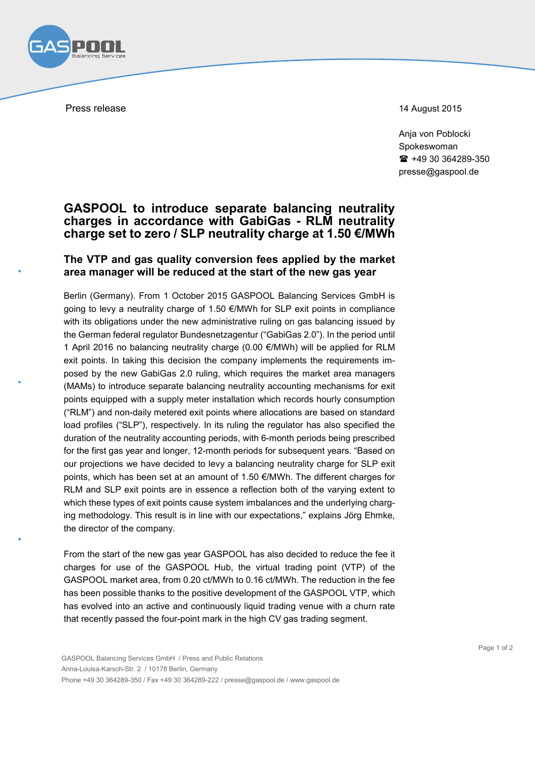

Press release 14 August 2015

Anja von Poblocki Spokeswoman  $\text{ }$  +49 30 364289-350 presse@gaspool.de

## **GASPOOL to introduce separate balancing neutrality charges in accordance with GabiGas - RLM neutrality charge set to zero / SLP neutrality charge at 1.50 €/MWh**

## **The VTP and gas quality conversion fees applied by the market area manager will be reduced at the start of the new gas year**

Berlin (Germany). From 1 October 2015 GASPOOL Balancing Services GmbH is going to levy a neutrality charge of 1.50 €/MWh for SLP exit points in compliance with its obligations under the new administrative ruling on gas balancing issued by the German federal regulator Bundesnetzagentur ("GabiGas 2.0"). In the period until 1 April 2016 no balancing neutrality charge (0.00 €/MWh) will be applied for RLM exit points. In taking this decision the company implements the requirements imposed by the new GabiGas 2.0 ruling, which requires the market area managers (MAMs) to introduce separate balancing neutrality accounting mechanisms for exit points equipped with a supply meter installation which records hourly consumption ("RLM") and non-daily metered exit points where allocations are based on standard load profiles ("SLP"), respectively. In its ruling the regulator has also specified the duration of the neutrality accounting periods, with 6-month periods being prescribed for the first gas year and longer, 12-month periods for subsequent years. "Based on our projections we have decided to levy a balancing neutrality charge for SLP exit points, which has been set at an amount of 1.50 €/MWh. The different charges for RLM and SLP exit points are in essence a reflection both of the varying extent to which these types of exit points cause system imbalances and the underlying charging methodology. This result is in line with our expectations," explains Jörg Ehmke, the director of the company.

From the start of the new gas year GASPOOL has also decided to reduce the fee it charges for use of the GASPOOL Hub, the virtual trading point (VTP) of the GASPOOL market area, from 0.20 ct/MWh to 0.16 ct/MWh. The reduction in the fee has been possible thanks to the positive development of the GASPOOL VTP, which has evolved into an active and continuously liquid trading venue with a churn rate that recently passed the four-point mark in the high CV gas trading segment.